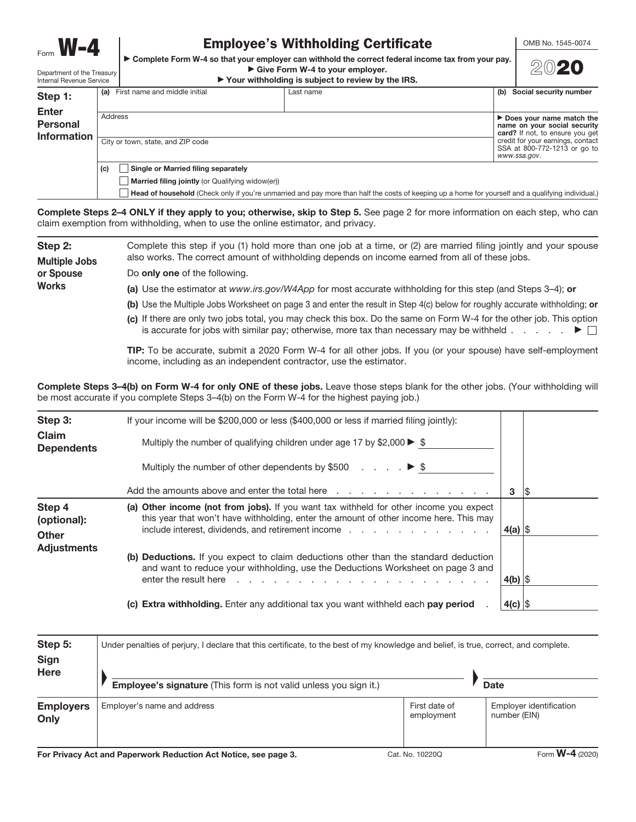Form  $W-4$ 

## Employee's Withholding Certificate

OMB No. 1545-0074

▶ Complete Form W-4 so that your employer can withhold the correct federal income tax from your pay.  $\triangleright$  Give Form W-4 to your employer.



Department of the Treasury Internal Revenue Service

# $\triangleright$  Your withholding is subject to review by the IRS.

| Step 1:                                               |                | (a) First name and middle initial                                        | Last name | Social security number<br>(b) |                                                                                                                                                                                                   |  |
|-------------------------------------------------------|----------------|--------------------------------------------------------------------------|-----------|-------------------------------|---------------------------------------------------------------------------------------------------------------------------------------------------------------------------------------------------|--|
| <b>Enter</b><br><b>Personal</b><br><b>Information</b> | Address<br>(c) | City or town, state, and ZIP code<br>Single or Married filing separately |           |                               | $\triangleright$ Does your name match the<br>name on your social security<br>card? If not, to ensure you get<br>credit for your earnings, contact<br>SSA at 800-772-1213 or go to<br>www.ssa.gov. |  |
|                                                       |                | <b>Married filing jointly</b> (or Qualifying widow(er))                  |           |                               |                                                                                                                                                                                                   |  |

Complete Steps 2-4 ONLY if they apply to you; otherwise, skip to Step 5. See page 2 for more information on each step, who can claim exemption from withholding, when to use the online estimator, and privacy.

Step 2: Multiple Jobs or Spouse **Works** Complete this step if you (1) hold more than one job at a time, or (2) are married filing jointly and your spouse also works. The correct amount of withholding depends on income earned from all of these jobs. Do only one of the following. (a) Use the estimator at www.irs.gov/W4App for most accurate withholding for this step (and Steps 3–4); or (b) Use the Multiple Jobs Worksheet on page 3 and enter the result in Step 4(c) below for roughly accurate withholding; or (c) If there are only two jobs total, you may check this box. Do the same on Form W-4 for the other job. This option

> TIP: To be accurate, submit a 2020 Form W-4 for all other jobs. If you (or your spouse) have self-employment income, including as an independent contractor, use the estimator.

is accurate for jobs with similar pay; otherwise, more tax than necessary may be withheld  $\ldots$  .  $\blacksquare$ 

Head of household (Check only if you're unmarried and pay more than half the costs of keeping up a home for yourself and a qualifying individual.)

Complete Steps 3–4(b) on Form W-4 for only ONE of these jobs. Leave those steps blank for the other jobs. (Your withholding will be most accurate if you complete Steps 3–4(b) on the Form W-4 for the highest paying job.)

| Step 3:<br>Claim<br><b>Dependents</b> | If your income will be $$200,000$ or less $$400,000$ or less if married filing jointly):<br>Multiply the number of qualifying children under age 17 by \$2,000 $\blacktriangleright$ \$<br>Multiply the number of other dependents by \$500 $\ldots$ , $\blacktriangleright$ \$                                                                                                                          |            |     |
|---------------------------------------|----------------------------------------------------------------------------------------------------------------------------------------------------------------------------------------------------------------------------------------------------------------------------------------------------------------------------------------------------------------------------------------------------------|------------|-----|
|                                       | Add the amounts above and enter the total here response to response the contract of the total here response to the amount of the amounts above and enter the total here response to the amount of the amounts are the amounts                                                                                                                                                                            | 3          | 1\$ |
| Step 4<br>(optional):<br><b>Other</b> | (a) Other income (not from jobs). If you want tax withheld for other income you expect<br>this year that won't have withholding, enter the amount of other income here. This may<br>include interest, dividends, and retirement income enter the state of the state of the state of the state of t                                                                                                       | 4(a) $ $$  |     |
| <b>Adjustments</b>                    | (b) Deductions. If you expect to claim deductions other than the standard deduction<br>and want to reduce your withholding, use the Deductions Worksheet on page 3 and<br>enter the result here result bere result berefore. The result of the result of the result of the result of the result of the result of the result of the result of the result of the result of the result of the result of the | 4(b) $ \$$ |     |
|                                       | (c) Extra withholding. Enter any additional tax you want withheld each pay period                                                                                                                                                                                                                                                                                                                        | $4(c)$ \$  |     |

| Step 5:<br><b>Sign</b>   | Under penalties of perjury, I declare that this certificate, to the best of my knowledge and belief, is true, correct, and complete. |                             |                                         |  |  |  |  |  |  |  |  |  |
|--------------------------|--------------------------------------------------------------------------------------------------------------------------------------|-----------------------------|-----------------------------------------|--|--|--|--|--|--|--|--|--|
| <b>Here</b>              | Employee's signature (This form is not valid unless you sign it.)                                                                    |                             | <b>Date</b>                             |  |  |  |  |  |  |  |  |  |
| <b>Employers</b><br>Only | Employer's name and address                                                                                                          | First date of<br>employment | Employer identification<br>number (EIN) |  |  |  |  |  |  |  |  |  |

For Privacy Act and Paperwork Reduction Act Notice, see page 3. Cat. No. 10220Q Form W-4 (2020)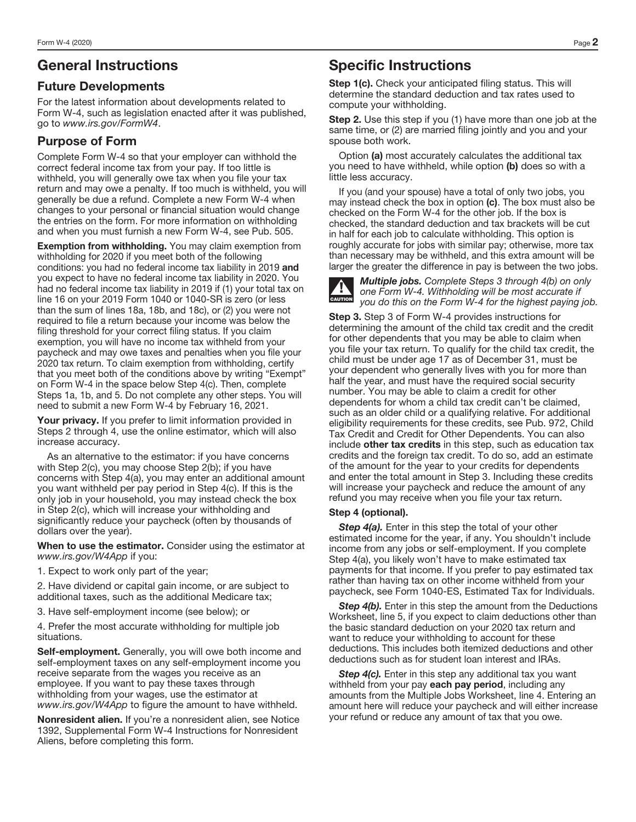## General Instructions

#### Future Developments

For the latest information about developments related to Form W-4, such as legislation enacted after it was published, go to www.irs.gov/FormW4.

### Purpose of Form

Complete Form W-4 so that your employer can withhold the correct federal income tax from your pay. If too little is withheld, you will generally owe tax when you file your tax return and may owe a penalty. If too much is withheld, you will generally be due a refund. Complete a new Form W-4 when changes to your personal or financial situation would change the entries on the form. For more information on withholding and when you must furnish a new Form W-4, see Pub. 505.

**Exemption from withholding.** You may claim exemption from withholding for 2020 if you meet both of the following conditions: you had no federal income tax liability in 2019 and you expect to have no federal income tax liability in 2020. You had no federal income tax liability in 2019 if (1) your total tax on line 16 on your 2019 Form 1040 or 1040-SR is zero (or less than the sum of lines 18a, 18b, and 18c), or (2) you were not required to file a return because your income was below the filing threshold for your correct filing status. If you claim exemption, you will have no income tax withheld from your paycheck and may owe taxes and penalties when you file your 2020 tax return. To claim exemption from withholding, certify that you meet both of the conditions above by writing "Exempt" on Form W-4 in the space below Step 4(c). Then, complete Steps 1a, 1b, and 5. Do not complete any other steps. You will need to submit a new Form W-4 by February 16, 2021.

Your privacy. If you prefer to limit information provided in Steps 2 through 4, use the online estimator, which will also increase accuracy.

As an alternative to the estimator: if you have concerns with Step 2(c), you may choose Step 2(b); if you have concerns with Step 4(a), you may enter an additional amount you want withheld per pay period in Step 4(c). If this is the only job in your household, you may instead check the box in Step 2(c), which will increase your withholding and significantly reduce your paycheck (often by thousands of dollars over the year).

When to use the estimator. Consider using the estimator at www.irs.gov/W4App if you:

1. Expect to work only part of the year;

2. Have dividend or capital gain income, or are subject to additional taxes, such as the additional Medicare tax;

3. Have self-employment income (see below); or

4. Prefer the most accurate withholding for multiple job situations.

Self-employment. Generally, you will owe both income and self-employment taxes on any self-employment income you receive separate from the wages you receive as an employee. If you want to pay these taxes through withholding from your wages, use the estimator at www.irs.gov/W4App to figure the amount to have withheld.

Nonresident alien. If you're a nonresident alien, see Notice 1392, Supplemental Form W-4 Instructions for Nonresident Aliens, before completing this form.

## Specific Instructions

Step 1(c). Check your anticipated filing status. This will determine the standard deduction and tax rates used to compute your withholding.

Step 2. Use this step if you (1) have more than one job at the same time, or (2) are married filing jointly and you and your spouse both work.

Option (a) most accurately calculates the additional tax you need to have withheld, while option (b) does so with a little less accuracy.

If you (and your spouse) have a total of only two jobs, you may instead check the box in option (c). The box must also be checked on the Form W-4 for the other job. If the box is checked, the standard deduction and tax brackets will be cut in half for each job to calculate withholding. This option is roughly accurate for jobs with similar pay; otherwise, more tax than necessary may be withheld, and this extra amount will be larger the greater the difference in pay is between the two jobs.



Multiple jobs. Complete Steps 3 through 4(b) on only one Form W-4. Withholding will be most accurate if you do this on the Form W-4 for the highest paying job.

Step 3. Step 3 of Form W-4 provides instructions for determining the amount of the child tax credit and the credit for other dependents that you may be able to claim when you file your tax return. To qualify for the child tax credit, the child must be under age 17 as of December 31, must be your dependent who generally lives with you for more than half the year, and must have the required social security number. You may be able to claim a credit for other dependents for whom a child tax credit can't be claimed, such as an older child or a qualifying relative. For additional eligibility requirements for these credits, see Pub. 972, Child Tax Credit and Credit for Other Dependents. You can also include other tax credits in this step, such as education tax credits and the foreign tax credit. To do so, add an estimate of the amount for the year to your credits for dependents and enter the total amount in Step 3. Including these credits will increase your paycheck and reduce the amount of any refund you may receive when you file your tax return.

#### Step 4 (optional).

Step 4(a). Enter in this step the total of your other estimated income for the year, if any. You shouldn't include income from any jobs or self-employment. If you complete Step 4(a), you likely won't have to make estimated tax payments for that income. If you prefer to pay estimated tax rather than having tax on other income withheld from your paycheck, see Form 1040-ES, Estimated Tax for Individuals.

**Step 4(b).** Enter in this step the amount from the Deductions Worksheet, line 5, if you expect to claim deductions other than the basic standard deduction on your 2020 tax return and want to reduce your withholding to account for these deductions. This includes both itemized deductions and other deductions such as for student loan interest and IRAs.

Step 4(c). Enter in this step any additional tax you want withheld from your pay each pay period, including any amounts from the Multiple Jobs Worksheet, line 4. Entering an amount here will reduce your paycheck and will either increase your refund or reduce any amount of tax that you owe.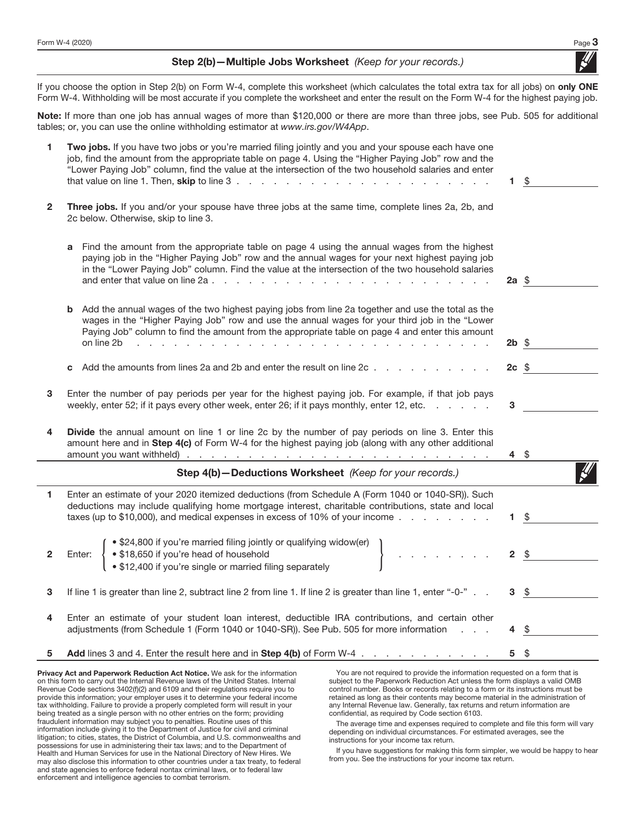Step 2(b) - Multiple Jobs Worksheet (Keep for your records.)

If you choose the option in Step 2(b) on Form W-4, complete this worksheet (which calculates the total extra tax for all jobs) on only ONE Form W-4. Withholding will be most accurate if you complete the worksheet and enter the result on the Form W-4 for the highest paying job.

Note: If more than one job has annual wages of more than \$120,000 or there are more than three jobs, see Pub. 505 for additional tables; or, you can use the online withholding estimator at www.irs.gov/W4App.

| 1            | Two jobs. If you have two jobs or you're married filing jointly and you and your spouse each have one<br>job, find the amount from the appropriate table on page 4. Using the "Higher Paying Job" row and the<br>"Lower Paying Job" column, find the value at the intersection of the two household salaries and enter                                                                                                                                            | 1.              | - \$ |
|--------------|-------------------------------------------------------------------------------------------------------------------------------------------------------------------------------------------------------------------------------------------------------------------------------------------------------------------------------------------------------------------------------------------------------------------------------------------------------------------|-----------------|------|
| $\mathbf{2}$ | Three jobs. If you and/or your spouse have three jobs at the same time, complete lines 2a, 2b, and<br>2c below. Otherwise, skip to line 3.                                                                                                                                                                                                                                                                                                                        |                 |      |
|              | Find the amount from the appropriate table on page 4 using the annual wages from the highest<br>a<br>paying job in the "Higher Paying Job" row and the annual wages for your next highest paying job<br>in the "Lower Paying Job" column. Find the value at the intersection of the two household salaries                                                                                                                                                        | $2a \text{ } $$ |      |
|              | Add the annual wages of the two highest paying jobs from line 2a together and use the total as the<br>b<br>wages in the "Higher Paying Job" row and use the annual wages for your third job in the "Lower<br>Paying Job" column to find the amount from the appropriate table on page 4 and enter this amount<br>on line 2b<br>the contract of the contract of the contract of the contract of the contract of the contract of the contract of<br><b>Contract</b> | $2b$ \$         |      |
|              | Add the amounts from lines 2a and 2b and enter the result on line 2c<br>C                                                                                                                                                                                                                                                                                                                                                                                         | $2c$ \$         |      |
| 3            | Enter the number of pay periods per year for the highest paying job. For example, if that job pays<br>weekly, enter 52; if it pays every other week, enter 26; if it pays monthly, enter 12, etc.                                                                                                                                                                                                                                                                 | 3               |      |
| 4            | <b>Divide</b> the annual amount on line 1 or line 2c by the number of pay periods on line 3. Enter this<br>amount here and in Step 4(c) of Form W-4 for the highest paying job (along with any other additional                                                                                                                                                                                                                                                   | 4\$             |      |
|              | Step 4(b)-Deductions Worksheet (Keep for your records.)                                                                                                                                                                                                                                                                                                                                                                                                           |                 |      |
| 1.           | Enter an estimate of your 2020 itemized deductions (from Schedule A (Form 1040 or 1040-SR)). Such<br>deductions may include qualifying home mortgage interest, charitable contributions, state and local<br>taxes (up to \$10,000), and medical expenses in excess of 10% of your income $\ldots$                                                                                                                                                                 | 1.              | - \$ |
| $\mathbf{2}$ | • \$24,800 if you're married filing jointly or qualifying widow(er)<br>$\mathcal{A}$ is a set of $\mathcal{A}$ , and<br>• \$18,650 if you're head of household<br>• \$12,400 if you're single or married filing separately<br>Enter:                                                                                                                                                                                                                              | $2 \quad$       |      |
| 3            | If line 1 is greater than line 2, subtract line 2 from line 1. If line 2 is greater than line 1, enter "-0-".                                                                                                                                                                                                                                                                                                                                                     | 3               | \$   |
| 4            | Enter an estimate of your student loan interest, deductible IRA contributions, and certain other<br>adjustments (from Schedule 1 (Form 1040 or 1040-SR)). See Pub. 505 for more information                                                                                                                                                                                                                                                                       | 4               | \$   |
|              | Add lines 3 and 4. Enter the result here and in Step 4(b) of Form W-4.                                                                                                                                                                                                                                                                                                                                                                                            | 5.              | \$   |

Privacy Act and Paperwork Reduction Act Notice. We ask for the information on this form to carry out the Internal Revenue laws of the United States. Internal Revenue Code sections 3402(f)(2) and 6109 and their regulations require you to provide this information; your employer uses it to determine your federal income tax withholding. Failure to provide a properly completed form will result in your being treated as a single person with no other entries on the form; providing fraudulent information may subject you to penalties. Routine uses of this information include giving it to the Department of Justice for civil and criminal litigation; to cities, states, the District of Columbia, and U.S. commonwealths and possessions for use in administering their tax laws; and to the Department of Health and Human Services for use in the National Directory of New Hires. We may also disclose this information to other countries under a tax treaty, to federal and state agencies to enforce federal nontax criminal laws, or to federal law enforcement and intelligence agencies to combat terrorism.

You are not required to provide the information requested on a form that is subject to the Paperwork Reduction Act unless the form displays a valid OMB control number. Books or records relating to a form or its instructions must be retained as long as their contents may become material in the administration of any Internal Revenue law. Generally, tax returns and return information are confidential, as required by Code section 6103.

The average time and expenses required to complete and file this form will vary depending on individual circumstances. For estimated averages, see the instructions for your income tax return.

If you have suggestions for making this form simpler, we would be happy to hear from you. See the instructions for your income tax return.